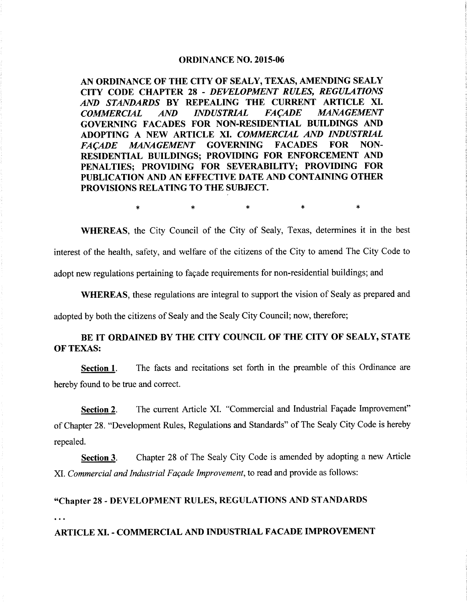#### **ORDINANCE NO. 2015-06**

AN ORDINANCE OF THE CITY OF SEALY, TEXAS, AMENDING SEALY CITY CODE CHAPTER 28 - DEVELOPMENT RULES, REGULATIONS AND STANDARDS BY REPEALING THE CURRENT ARTICLE XI. COMMERCIAL AND INDUSTRIAL FACADE MANAGEMENT GOVERNING FACADES FOR NON RESIDENTIAL BUILDINGS AND ADOPTING A NEW ARTICLE XI. COMMERCIAL AND INDUSTRIAL FACADE MANAGEMENT GOVERNING FACADES FOR NON RESIDENTIAL BUILDINGS; PROVIDING FOR ENFORCEMENT AND PENALTIES; PROVIDING FOR SEVERABILITY; PROVIDING FOR PUBLICATION AND AN EFFECTIVE DATE AND CONTAINING OTHER PROVISIONS RELATING TO THE SUBJECT

WHEREAS, the City Council of the City of Sealy, Texas, determines it in the best interest of the health, safety, and welfare of the citizens of the City to amend The City Code to adopt new regulations pertaining to façade requirements for non-residential buildings; and

WHEREAS, these regulations are integral to support the vision of Sealy as prepared and

adopted by both the citizens of Sealy and the Sealy City Council; now, therefore;

# BE IT ORDAINED BY THE CITY COUNCIL OF THE CITY OF SEALY, STATE OF TEXAS

**Section 1.** The facts and recitations set forth in the preamble of this Ordinance are hereby found to be true and correct

Section 2. The current Article XI. "Commercial and Industrial Façade Improvement" of Chapter 28. "Development Rules, Regulations and Standards" of The Sealy City Code is hereby repealed

Section 3. Chapter 28 of The Sealy City Code is amended by adopting a new Article XI. Commercial and Industrial Façade Improvement, to read and provide as follows:

# "Chapter 28 - DEVELOPMENT RULES, REGULATIONS AND STANDARDS

# ARTICLE XI. - COMMERCIAL AND INDUSTRIAL FACADE IMPROVEMENT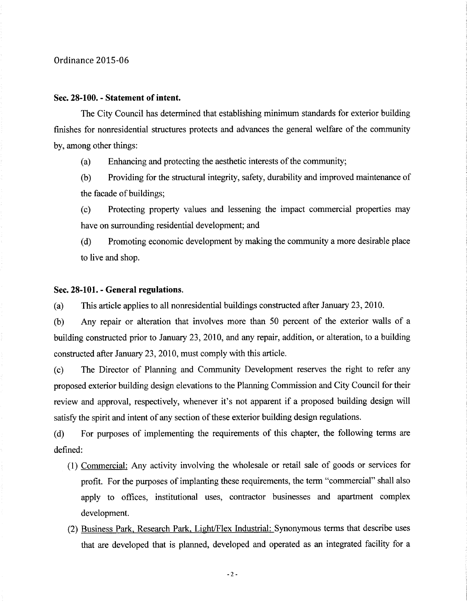#### Sec. 28-100. - Statement of intent.

The City Council has determined that establishing minimum standards for exterior building finishes for nonresidential structures protects and advances the general welfare of the community by, among other things:

 $(a)$  Enhancing and protecting the aesthetic interests of the community;

b Providing for the structural integrity safety durability and improved maintenance of the facade of buildings

c Protecting property values and lessening the impact commercial properties may have on surrounding residential development; and

(d) Promoting economic development by making the community a more desirable place to live and shop

#### Sec. 28-101. - General regulations.

(a) This article applies to all nonresidential buildings constructed after January 23, 2010.

b Any repair or alteration that involves more than <sup>50</sup> percent of the exterior walls of <sup>a</sup> building constructed prior to January 23 2010 and any repair addition or alteration to a building constructed after January 23, 2010, must comply with this article.

c The Director of Planning and Community Development reserves the right to refer any proposed exterior building design elevations to the Planning Commission and City Council for their review and approval, respectively, whenever it's not apparent if a proposed building design will satisfy the spirit and intent of any section of these exterior building design regulations

(d) For purposes of implementing the requirements of this chapter, the following terms are defined

- (1) Commercial: Any activity involving the wholesale or retail sale of goods or services for profit. For the purposes of implanting these requirements, the term "commercial" shall also apply to offices, institutional uses, contractor businesses and apartment complex development
- (2) Business Park, Research Park, Light/Flex Industrial: Synonymous terms that describe uses that are developed that is planned, developed and operated as an integrated facility for a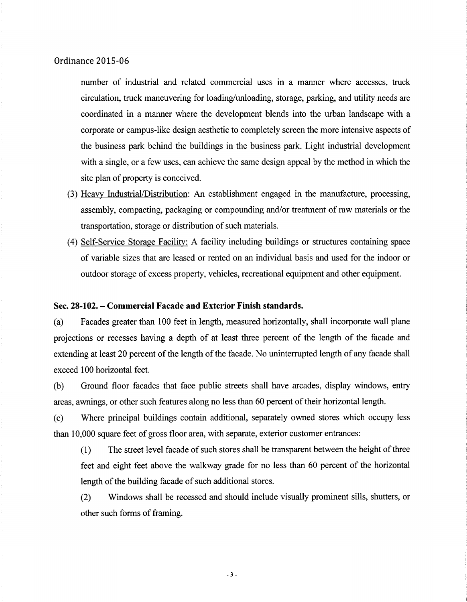number of industrial and related commercial uses in a manner where accesses, truck circulation, truck maneuvering for loading/unloading, storage, parking, and utility needs are coordinated in a manner where the development blends into the urban landscape with a corporate or campus-like design aesthetic to completely screen the more intensive aspects of the business park behind the buildings in the business park Light industrial development with a single, or a few uses, can achieve the same design appeal by the method in which the site plan of property is conceived

- (3) Heavy Industrial/Distribution: An establishment engaged in the manufacture, processing, assembly, compacting, packaging or compounding and/or treatment of raw materials or the transportation, storage or distribution of such materials.
- (4) Self-Service Storage Facility: A facility including buildings or structures containing space of variable sizes that are leased or rented on an individual basis and used for the indoor or outdoor storage of excess property, vehicles, recreational equipment and other equipment.

# Sec. 28-102. - Commercial Facade and Exterior Finish standards.

(a) Facades greater than 100 feet in length, measured horizontally, shall incorporate wall plane projections or recesses having <sup>a</sup> depth of at least three percent of the length of the facade and extending at least 20 percent of the length of the facade. No uninterrupted length of any facade shall exceed 100 horizontal feet

b Ground floor facades that face public streets shall have arcades display windows entry areas, awnings, or other such features along no less than 60 percent of their horizontal length.

(c) Where principal buildings contain additional, separately owned stores which occupy less than 10,000 square feet of gross floor area, with separate, exterior customer entrances:

1 The street level facade of such stores shall be transparent between the height of three feet and eight feet above the walkway grade for no less than 60 percent of the horizontal length of the building facade of such additional stores

(2) Windows shall be recessed and should include visually prominent sills, shutters, or other such forms of framing

 $-3-$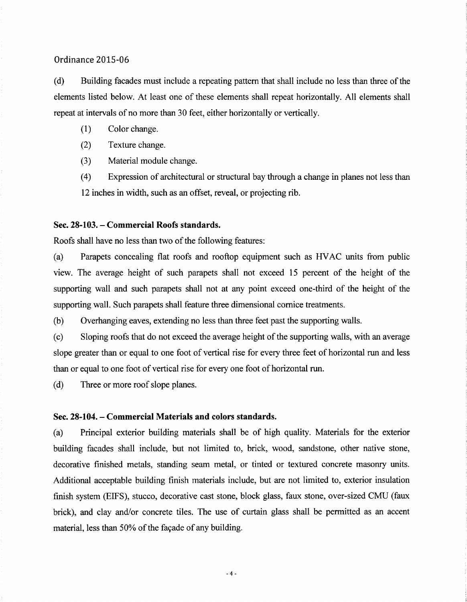(d) Building facades must include a repeating pattern that shall include no less than three of the elements listed below At least one of these elements shall repeat horizontally All elements shall repeat at intervals of no more than 30 feet, either horizontally or vertically.

 $(1)$  Color change.

(2) Texture change.

(3) Material module change.

4 Expression of architectural or structural bay through <sup>a</sup> change in planes not less than 12 inches in width, such as an offset, reveal, or projecting rib.

#### Sec. 28-103. – Commercial Roofs standards.

Roofs shall have no less than two of the following features

a Parapets concealing flat roofs and rooftop equipment such as HVAC units from public view The average height of such parapets shall not exceed <sup>15</sup> percent of the height of the supporting wall and such parapets shall not at any point exceed one-third of the height of the supporting wall. Such parapets shall feature three dimensional cornice treatments.

(b) Overhanging eaves, extending no less than three feet past the supporting walls.

(c) Sloping roofs that do not exceed the average height of the supporting walls, with an average slope greater than or equal to one foot of vertical rise for every three feet of horizontal run and less than or equal to one foot of vertical rise for every one foot of horizontal run.

(d) Three or more roof slope planes.

#### Sec. 28-104. – Commercial Materials and colors standards.

(a) Principal exterior building materials shall be of high quality. Materials for the exterior building facades shall include, but not limited to, brick, wood, sandstone, other native stone, decorative finished metals, standing seam metal, or tinted or textured concrete masonry units. Additional acceptable building finish materials include, but are not limited to, exterior insulation finish system (EIFS), stucco, decorative cast stone, block glass, faux stone, over-sized CMU (faux brick), and clay and/or concrete tiles. The use of curtain glass shall be permitted as an accent material, less than 50% of the facade of any building.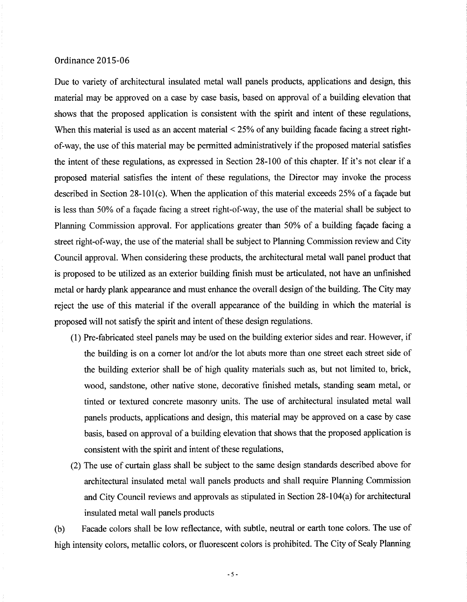Due to variety of architectural insulated metal wall panels products, applications and design, this material may be approved on <sup>a</sup> case by case basis based on approval of a building elevation that shows that the proposed application is consistent with the spirit and intent of these regulations When this material is used as an accent material  $\leq$  25% of any building facade facing a street rightof-way, the use of this material may be permitted administratively if the proposed material satisfies the intent of these regulations, as expressed in Section 28-100 of this chapter. If it's not clear if a proposed material satisfies the intent of these regulations, the Director may invoke the process the intent of these regulations, as expressed in Section 28-100 of this chapter. If it's not clear if a<br>proposed material satisfies the intent of these regulations, the Director may invoke the process<br>described in Section is less than 50% of a façade facing a street right-of-way, the use of the material shall be subject to Planning Commission approval. For applications greater than 50% of a building façade facing a street right-of-way, the use of the material shall be subject to Planning Commission review and City Council approval. When considering these products, the architectural metal wall panel product that is proposed to be utilized as an exterior building finish must be articulated, not have an unfinished metal or hardy plank appearance and must enhance the overall design of the building. The City may reject the use of this material if the overall appearance of the building in which the material is proposed will not satisfy the spirit and intent of these design regulations.

- 1 Pre fabricated steel panels may be used on the building exterior sides and rear However if the building is on a corner lot and/or the lot abuts more than one street each street side of the building exterior shall be of high quality materials such as, but not limited to, brick, wood, sandstone, other native stone, decorative finished metals, standing seam metal, or tinted or textured concrete masonry units. The use of architectural insulated metal wall panels products, applications and design, this material may be approved on a case by case basis, based on approval of a building elevation that shows that the proposed application is consistent with the spirit and intent of these regulations,
- 2 The use of curtain glass shall be subject to the same design standards described above for architectural insulated metal wall panels products and shall require Planning Commission architectural insulated metal wall panels products and shall require Planning Commission<br>and City Council reviews and approvals as stipulated in Section 28-104(a) for architectural insulated metal wall panels products

(b) Facade colors shall be low reflectance, with subtle, neutral or earth tone colors. The use of high intensity colors, metallic colors, or fluorescent colors is prohibited. The City of Sealy Planning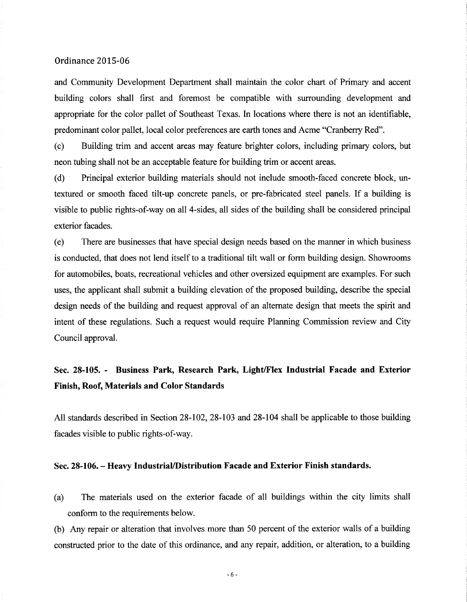and Community Development Department shall maintain the color chart of Primary and accent building colors shall first and foremost be compatible with surrounding development and appropriate for the color pallet of Southeast Texas. In locations where there is not an identifiable, predominant color pallet, local color preferences are earth tones and Acme "Cranberry Red".

(c) Building trim and accent areas may feature brighter colors, including primary colors, but neon tubing shall not be an acceptable feature for building trim or accent areas

(d) Principal exterior building materials should not include smooth-faced concrete block, untextured or smooth faced tilt-up concrete panels, or pre-fabricated steel panels. If a building is visible to public rights-of-way on all 4-sides, all sides of the building shall be considered principal exterior facades

e There are businesses that have special design needs based on the manner in which business is conducted, that does not lend itself to a traditional tilt wall or form building design. Showrooms for automobiles, boats, recreational vehicles and other oversized equipment are examples. For such uses the applicant shall submit <sup>a</sup> building elevation of the proposed building describe the special design needs of the building and request approval of an alternate design that meets the spirit and intent of these regulations. Such a request would require Planning Commission review and City Council approval

# Sec. 28-105. - Business Park, Research Park, Light/Flex Industrial Facade and Exterior Finish, Roof, Materials and Color Standards

All standards described in Section 28-102, 28-103 and 28-104 shall be applicable to those building facades visible to public rights-of-way.

## Sec. 28-106. - Heavy Industrial/Distribution Facade and Exterior Finish standards.

(a) The materials used on the exterior facade of all buildings within the city limits shall conform to the requirements below

b Any repair or alteration that involves more than <sup>50</sup> percent of the exterior walls of <sup>a</sup> building constructed prior to the date of this ordinance, and any repair, addition, or alteration, to a building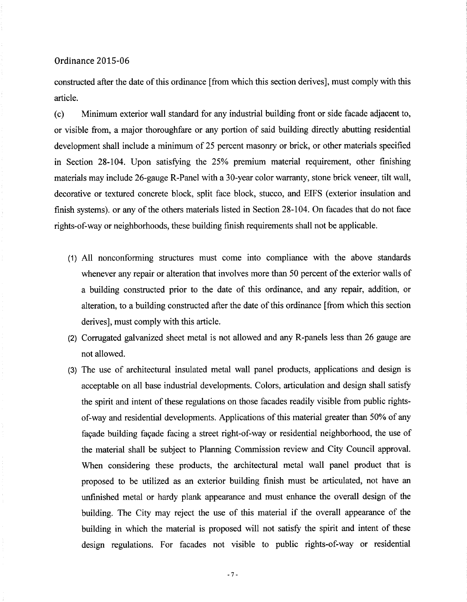constructed after the date of this ordinance from which this section derives], must comply with this article

(c) Minimum exterior wall standard for any industrial building front or side facade adjacent to, or visible from a major thoroughfare or any portion of said building directly abutting residential development shall include a minimum of 25 percent masonry or brick, or other materials specified in Section 28-104. Upon satisfying the 25% premium material requirement, other finishing materials may include 26-gauge R-Panel with a 30-year color warranty, stone brick veneer, tilt wall, decorative or textured concrete block, split face block, stucco, and EIFS (exterior insulation and finish systems), or any of the others materials listed in Section 28-104. On facades that do not face rights-of-way or neighborhoods, these building finish requirements shall not be applicable.

- 1 All nonconforming structures must come into compliance with the above standards whenever any repair or alteration that involves more than 50 percent of the exterior walls of a building constructed prior to the date of this ordinance, and any repair, addition, or alteration, to a building constructed after the date of this ordinance from which this section derives], must comply with this article.
- (2) Corrugated galvanized sheet metal is not allowed and any R-panels less than 26 gauge are not allowed
- 3 The use of architectural insulated metal wall panel products applications and design is acceptable on all base industrial developments. Colors, articulation and design shall satisfy the spirit and intent of these regulations on those facades readily visible from public rights of-way and residential developments. Applications of this material greater than 50% of any facade building facade facing a street right-of-way or residential neighborhood, the use of the material shall be subject to Planning Commission review and City Council approval When considering these products, the architectural metal wall panel product that is proposed to be utilized as an exterior building finish must be articulated, not have an unfinished metal or hardy plank appearance and must enhance the overall design of the building. The City may reject the use of this material if the overall appearance of the building in which the material is proposed will not satisfy the spirit and intent of these design regulations. For facades not visible to public rights-of-way or residential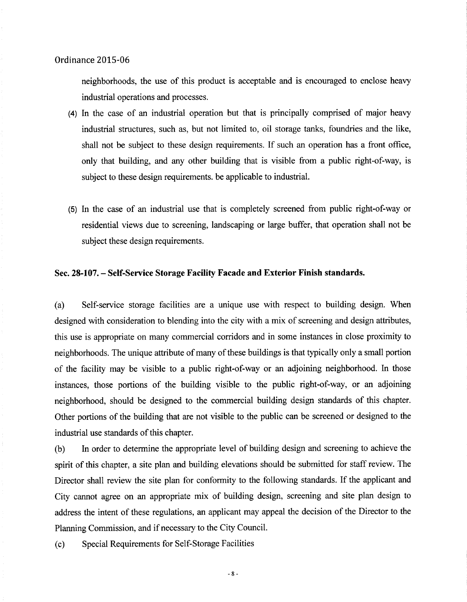neighborhoods the use of this product is acceptable and is encouraged to enclose heavy industrial operations and processes

- 4 In the case of an industrial operation but that is principally comprised of major heavy industrial structures, such as, but not limited to, oil storage tanks, foundries and the like, shall not be subject to these design requirements. If such an operation has a front office, only that building, and any other building that is visible from a public right-of-way, is subject to these design requirements, be applicable to industrial.
- (5) In the case of an industrial use that is completely screened from public right-of-way or residential views due to screening, landscaping or large buffer, that operation shall not be subject these design requirements.

## Sec. 28-107. – Self-Service Storage Facility Facade and Exterior Finish standards.

(a) Self-service storage facilities are a unique use with respect to building design. When designed with consideration to blending into the city with a mix of screening and design attributes, this use is appropriate on many commercial corridors and in some instances in close proximity to neighborhoods The unique attribute of many of these buildings is that typically only a small portion of the facility may be visible to a public right-of-way or an adjoining neighborhood. In those instances, those portions of the building visible to the public right-of-way, or an adjoining neighborhood, should be designed to the commercial building design standards of this chapter. Other portions of the building that are not visible to the public can be screened or designed to the industrial use standards of this chapter

b In order to determine the appropriate level of building design and screening to achieve the spirit of this chapter, a site plan and building elevations should be submitted for staff review. The Director shall review the site plan for conformity to the following standards. If the applicant and City cannot agree on an appropriate mix of building design screening and site plan design to address the intent of these regulations, an applicant may appeal the decision of the Director to the Planning Commission, and if necessary to the City Council.

(c) Special Requirements for Self-Storage Facilities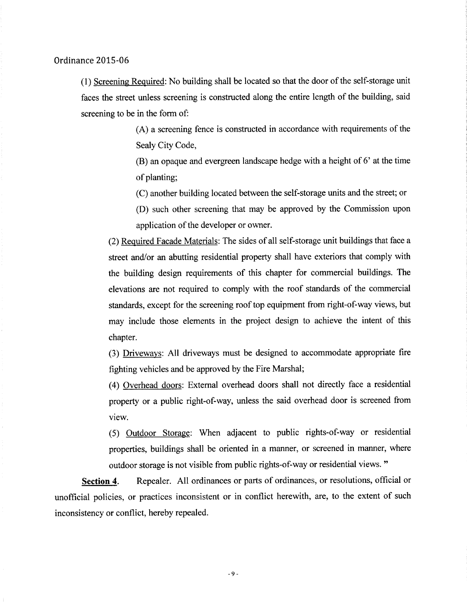(1) Screening Required: No building shall be located so that the door of the self-storage unit faces the street unless screening is constructed along the entire length of the building, said screening to be in the form of:

> A <sup>a</sup> screening fence is constructed in accordance with requirements of the Sealy City Code

> $(B)$  an opaque and evergreen landscape hedge with a height of 6 $^{\circ}$  at the time of planting

> (C) another building located between the self-storage units and the street; or

D such other screening that may be approved by the Commission upon application of the developer or owner.

(2) Required Facade Materials: The sides of all self-storage unit buildings that face a street and/or an abutting residential property shall have exteriors that comply with the building design requirements of this chapter for commercial buildings. The elevations are not required to comply with the roof standards of the commercial standards, except for the screening roof top equipment from right-of-way views, but may include those elements in the project design to achieve the intent of this chapter

3 Driveways All driveways must be designed to accommodate appropriate fire fighting vehicles and be approved by the Fire Marshal

(4) Overhead doors: External overhead doors shall not directly face a residential property or a public right-of-way, unless the said overhead door is screened from view

(5) Outdoor Storage: When adjacent to public rights-of-way or residential properties, buildings shall be oriented in a manner, or screened in manner, where outdoor storage is not visible from public rights-of-way or residential views."

Section 4. Repealer. All ordinances or parts of ordinances, or resolutions, official or unofficial policies, or practices inconsistent or in conflict herewith, are, to the extent of such inconsistency or conflict, hereby repealed.

9